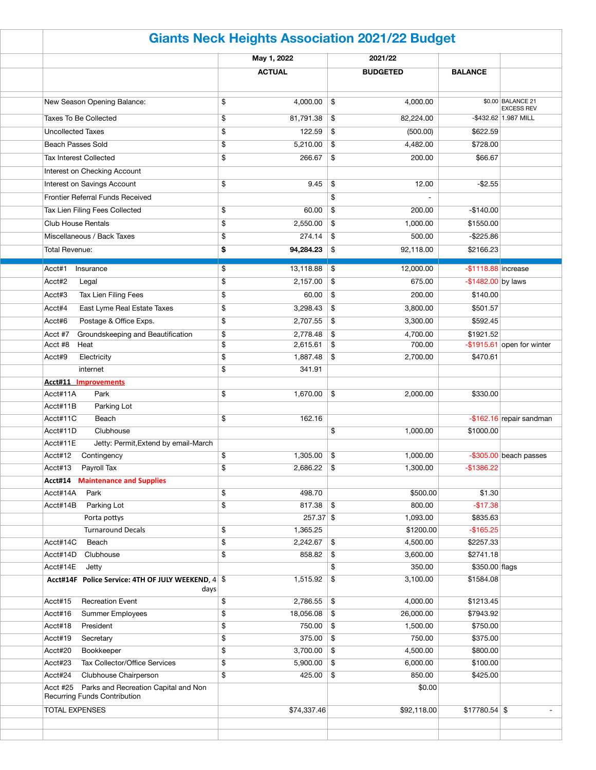| <b>Giants Neck Heights Association 2021/22 Budget</b>      |    |               |               |                 |                        |                                        |  |  |
|------------------------------------------------------------|----|---------------|---------------|-----------------|------------------------|----------------------------------------|--|--|
|                                                            |    | May 1, 2022   |               | 2021/22         |                        |                                        |  |  |
|                                                            |    | <b>ACTUAL</b> |               | <b>BUDGETED</b> | <b>BALANCE</b>         |                                        |  |  |
| New Season Opening Balance:                                | \$ | 4,000.00      | \$            | 4,000.00        |                        | \$0.00 BALANCE 21<br><b>EXCESS REV</b> |  |  |
| <b>Taxes To Be Collected</b>                               | \$ | 81,791.38     | \$            | 82,224.00       |                        | $-$ \$432.62 1.987 MILL                |  |  |
| <b>Uncollected Taxes</b>                                   | \$ | 122.59        | \$            | (500.00)        | \$622.59               |                                        |  |  |
| <b>Beach Passes Sold</b>                                   | \$ | 5,210.00      | \$            | 4,482.00        | \$728.00               |                                        |  |  |
| <b>Tax Interest Collected</b>                              | \$ | 266.67        | \$            | 200.00          | \$66.67                |                                        |  |  |
| Interest on Checking Account                               |    |               |               |                 |                        |                                        |  |  |
| Interest on Savings Account                                | \$ | 9.45          | \$            | 12.00           | $-$ \$2.55             |                                        |  |  |
| Frontier Referral Funds Received                           |    |               | \$            |                 |                        |                                        |  |  |
| Tax Lien Filing Fees Collected                             | \$ | 60.00         | \$            | 200.00          | $-$140.00$             |                                        |  |  |
| <b>Club House Rentals</b>                                  | \$ | 2,550.00      | \$            | 1,000.00        | \$1550.00              |                                        |  |  |
| Miscellaneous / Back Taxes                                 | \$ | 274.14        | \$            | 500.00          | $-$ \$225.86           |                                        |  |  |
| <b>Total Revenue:</b>                                      | \$ | 94,284.23     | \$            | 92,118.00       | \$2166.23              |                                        |  |  |
|                                                            |    |               |               |                 |                        |                                        |  |  |
| Acct#1<br>Insurance                                        | \$ | 13,118.88     | \$            | 12,000.00       | $-$ \$1118.88 increase |                                        |  |  |
| Acct#2<br>Legal                                            | \$ | 2,157.00      | \$            | 675.00          | $-$ \$1482.00 by laws  |                                        |  |  |
| Tax Lien Filing Fees<br>Acct#3                             | \$ | 60.00         | \$            | 200.00          | \$140.00               |                                        |  |  |
| East Lyme Real Estate Taxes<br>Acct#4                      | \$ | 3,298.43      | \$            | 3,800.00        | \$501.57               |                                        |  |  |
| Acct#6<br>Postage & Office Exps.                           | \$ | 2,707.55      | \$            | 3,300.00        | \$592.45               |                                        |  |  |
| Groundskeeping and Beautification<br>Acct #7               | \$ | 2,778.48      | \$            | 4,700.00        | \$1921.52              |                                        |  |  |
| Acct #8<br>Heat                                            | \$ | 2,615.61      | \$            | 700.00          |                        | $-$ \$1915.61 open for winter          |  |  |
| Acct#9<br>Electricity                                      | \$ | 1,887.48      | $\frac{1}{2}$ | 2,700.00        | \$470.61               |                                        |  |  |
| internet                                                   | \$ | 341.91        |               |                 |                        |                                        |  |  |
| <b>Acct#11 Improvements</b>                                |    |               |               |                 |                        |                                        |  |  |
| Acct#11A<br>Park                                           | \$ | 1,670.00      | \$            | 2,000.00        | \$330.00               |                                        |  |  |
| Parking Lot<br>Acct#11B                                    |    |               |               |                 |                        |                                        |  |  |
| Acct#11C<br>Beach                                          | \$ | 162.16        |               |                 |                        | $-$ \$162.16 repair sandman            |  |  |
| Acct#11D<br>Clubhouse                                      |    |               | \$            | 1,000.00        | \$1000.00              |                                        |  |  |
| Acct#11E<br>Jetty: Permit, Extend by email-March           |    |               |               |                 |                        |                                        |  |  |
| Acct#12<br>Contingency                                     | \$ | 1,305.00      | \$            | 1,000.00        |                        | $-$ \$305.00 beach passes              |  |  |
| Acct#13<br>Payroll Tax                                     | \$ | 2,686.22      | \$            | 1,300.00        | $-$1386.22$            |                                        |  |  |
| <b>Maintenance and Supplies</b><br>Acct#14                 |    |               |               |                 |                        |                                        |  |  |
| Acct#14A<br>Park                                           | \$ | 498.70        |               | \$500.00        | \$1.30                 |                                        |  |  |
| Acct#14B<br>Parking Lot                                    | \$ | 817.38        | \$            | 800.00          | $-$17.38$              |                                        |  |  |
| Porta pottys                                               |    | 257.37 \$     |               | 1,093.00        | \$835.63               |                                        |  |  |
| <b>Turnaround Decals</b>                                   | \$ | 1,365.25      |               | \$1200.00       | $-$165.25$             |                                        |  |  |
| Acct#14C<br>Beach                                          | \$ | 2,242.67      | \$            | 4,500.00        | \$2257.33              |                                        |  |  |
| Acct#14D<br>Clubhouse                                      | \$ | 858.82        | \$            | 3,600.00        | \$2741.18              |                                        |  |  |
| Acct#14E<br>Jetty                                          |    |               | \$            | 350.00          | \$350.00 flags         |                                        |  |  |
| Acct#14F Police Service: 4TH OF JULY WEEKEND, 4 \$<br>days |    | 1,515.92      | \$            | 3,100.00        | \$1584.08              |                                        |  |  |
| Acct#15<br><b>Recreation Event</b>                         | \$ | 2,786.55      | \$            | 4,000.00        | \$1213.45              |                                        |  |  |
| Acct#16<br>Summer Employees                                | \$ | 18,056.08     | \$            | 26,000.00       | \$7943.92              |                                        |  |  |
| Acct#18<br>President                                       | \$ | 750.00        | \$            | 1,500.00        | \$750.00               |                                        |  |  |
| Acct#19<br>Secretary                                       | \$ | 375.00        | $\frac{1}{2}$ | 750.00          | \$375.00               |                                        |  |  |
| Acct#20<br>Bookkeeper                                      | \$ | 3,700.00      | $\frac{1}{2}$ | 4,500.00        | \$800.00               |                                        |  |  |
| Tax Collector/Office Services<br>Acct#23                   | \$ | 5,900.00      | \$            | 6,000.00        | \$100.00               |                                        |  |  |
| Acct#24<br>Clubhouse Chairperson                           | \$ | 425.00        | \$            | 850.00          | \$425.00               |                                        |  |  |
| Acct #25 Parks and Recreation Capital and Non              |    |               |               | \$0.00          |                        |                                        |  |  |
| <b>Recurring Funds Contribution</b>                        |    |               |               |                 |                        |                                        |  |  |
| <b>TOTAL EXPENSES</b>                                      |    | \$74,337.46   |               | \$92,118.00     | $$17780.54$ \$         | $\overline{\phantom{a}}$               |  |  |
|                                                            |    |               |               |                 |                        |                                        |  |  |
|                                                            |    |               |               |                 |                        |                                        |  |  |